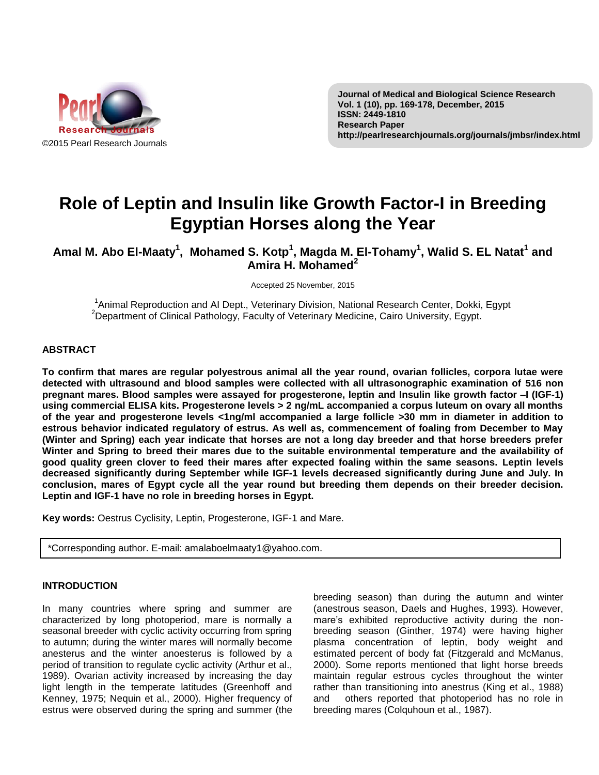

**Journal of Medical and Biological Science Research Vol. 1 (10), pp. 169-178, December, 2015 ISSN: 2449-1810 Research Paper http://pearlresearchjournals.org/journals/jmbsr/index.html**

# **Role of Leptin and Insulin like Growth Factor-I in Breeding Egyptian Horses along the Year**

**Amal M. Abo El-Maaty<sup>1</sup> , Mohamed S. Kotp<sup>1</sup> , Magda M. El-Tohamy<sup>1</sup> , Walid S. EL Natat<sup>1</sup> and Amira H. Mohamed<sup>2</sup>**

Accepted 25 November, 2015

<sup>1</sup>Animal Reproduction and AI Dept., Veterinary Division, National Research Center, Dokki, Egypt  $2$ Department of Clinical Pathology, Faculty of Veterinary Medicine, Cairo University, Egypt.

# **ABSTRACT**

**To confirm that mares are regular polyestrous animal all the year round, ovarian follicles, corpora lutae were detected with ultrasound and blood samples were collected with all ultrasonographic examination of 516 non pregnant mares. Blood samples were assayed for progesterone, leptin and Insulin like growth factor –I (IGF-1) using commercial ELISA kits. Progesterone levels > 2 ng/mL accompanied a corpus luteum on ovary all months of the year and progesterone levels <1ng/ml accompanied a large follicle >30 mm in diameter in addition to estrous behavior indicated regulatory of estrus. As well as, commencement of foaling from December to May (Winter and Spring) each year indicate that horses are not a long day breeder and that horse breeders prefer Winter and Spring to breed their mares due to the suitable environmental temperature and the availability of good quality green clover to feed their mares after expected foaling within the same seasons. Leptin levels decreased significantly during September while IGF-1 levels decreased significantly during June and July. In conclusion, mares of Egypt cycle all the year round but breeding them depends on their breeder decision. Leptin and IGF-1 have no role in breeding horses in Egypt.** 

**Key words:** Oestrus Cyclisity, Leptin, Progesterone, IGF-1 and Mare.

\*Corresponding author. E-mail: amalaboelmaaty1@yahoo.com.

# **INTRODUCTION**

In many countries where spring and summer are characterized by long photoperiod, mare is normally a seasonal breeder with cyclic activity occurring from spring to autumn; during the winter mares will normally become anesterus and the winter anoesterus is followed by a period of transition to regulate cyclic activity (Arthur et al., 1989). Ovarian activity increased by increasing the day light length in the temperate latitudes (Greenhoff and Kenney, 1975; Nequin et al., 2000). Higher frequency of estrus were observed during the spring and summer (the

breeding season) than during the autumn and winter (anestrous season, Daels and Hughes, 1993). However, mare's exhibited reproductive activity during the nonbreeding season (Ginther, 1974) were having higher plasma concentration of leptin, body weight and estimated percent of body fat (Fitzgerald and McManus, 2000). Some reports mentioned that light horse breeds maintain regular estrous cycles throughout the winter rather than transitioning into anestrus (King et al., 1988) and others reported that photoperiod has no role in breeding mares (Colquhoun et al., 1987).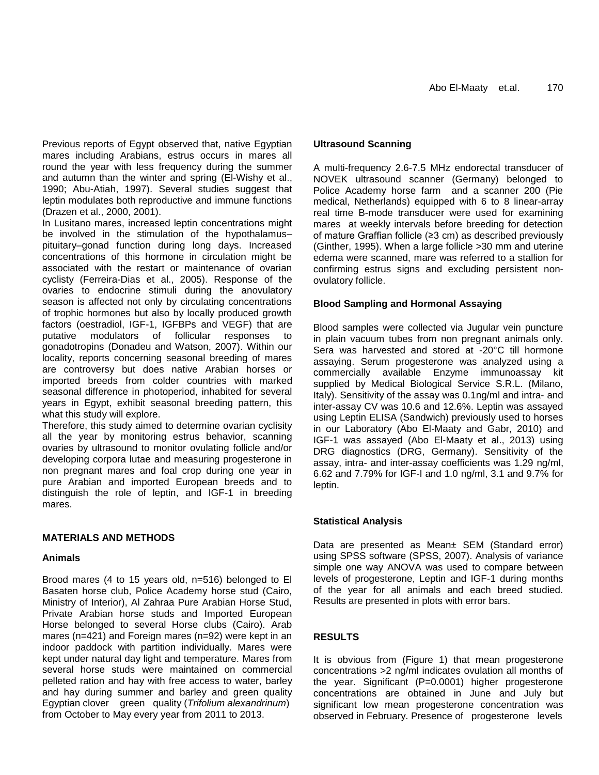Previous reports of Egypt observed that, native Egyptian mares including Arabians, estrus occurs in mares all round the year with less frequency during the summer and autumn than the winter and spring (El-Wishy et al., 1990; Abu-Atiah, 1997). Several studies suggest that leptin modulates both reproductive and immune functions (Drazen et al., 2000, 2001).

In Lusitano mares, increased leptin concentrations might be involved in the stimulation of the hypothalamus– pituitary–gonad function during long days. Increased concentrations of this hormone in circulation might be associated with the restart or maintenance of ovarian cyclisty (Ferreira-Dias et al., 2005). Response of the ovaries to endocrine stimuli during the anovulatory season is affected not only by circulating concentrations of trophic hormones but also by locally produced growth factors (oestradiol, IGF-1, IGFBPs and VEGF) that are putative modulators of follicular responses to gonadotropins (Donadeu and Watson, 2007). Within our locality, reports concerning seasonal breeding of mares are controversy but does native Arabian horses or imported breeds from colder countries with marked seasonal difference in photoperiod, inhabited for several years in Egypt, exhibit seasonal breeding pattern, this what this study will explore.

Therefore, this study aimed to determine ovarian cyclisity all the year by monitoring estrus behavior, scanning ovaries by ultrasound to monitor ovulating follicle and/or developing corpora lutae and measuring progesterone in non pregnant mares and foal crop during one year in pure Arabian and imported European breeds and to distinguish the role of leptin, and IGF-1 in breeding mares.

# **MATERIALS AND METHODS**

#### **Animals**

Brood mares (4 to 15 years old, n=516) belonged to El Basaten horse club, Police Academy horse stud (Cairo, Ministry of Interior), Al Zahraa Pure Arabian Horse Stud, Private Arabian horse studs and Imported European Horse belonged to several Horse clubs (Cairo). Arab mares (n=421) and Foreign mares (n=92) were kept in an indoor paddock with partition individually. Mares were kept under natural day light and temperature. Mares from several horse studs were maintained on commercial pelleted ration and hay with free access to water, barley and hay during summer and barley and green quality Egyptian clover green quality (*Trifolium alexandrinum*) from October to May every year from 2011 to 2013.

#### **Ultrasound Scanning**

A multi-frequency 2.6-7.5 MHz endorectal transducer of NOVEK ultrasound scanner (Germany) belonged to Police Academy horse farm and a scanner 200 (Pie medical, Netherlands) equipped with 6 to 8 linear-array real time B-mode transducer were used for examining mares at weekly intervals before breeding for detection of mature Graffian follicle (≥3 cm) as described previously (Ginther, 1995). When a large follicle >30 mm and uterine edema were scanned, mare was referred to a stallion for confirming estrus signs and excluding persistent nonovulatory follicle.

# **Blood Sampling and Hormonal Assaying**

Blood samples were collected via Jugular vein puncture in plain vacuum tubes from non pregnant animals only. Sera was harvested and stored at -20°C till hormone assaying. Serum progesterone was analyzed using a commercially available Enzyme immunoassay kit supplied by Medical Biological Service S.R.L. (Milano, Italy). Sensitivity of the assay was 0.1ng/ml and intra- and inter-assay CV was 10.6 and 12.6%. Leptin was assayed using Leptin ELISA (Sandwich) previously used to horses in our Laboratory (Abo El-Maaty and Gabr, 2010) and IGF-1 was assayed (Abo El-Maaty et al., 2013) using DRG diagnostics (DRG, Germany). Sensitivity of the assay, intra- and inter-assay coefficients was 1.29 ng/ml, 6.62 and 7.79% for IGF-I and 1.0 ng/ml, 3.1 and 9.7% for leptin.

# **Statistical Analysis**

Data are presented as Mean± SEM (Standard error) using SPSS software (SPSS, 2007). Analysis of variance simple one way ANOVA was used to compare between levels of progesterone, Leptin and IGF-1 during months of the year for all animals and each breed studied. Results are presented in plots with error bars.

# **RESULTS**

It is obvious from (Figure 1) that mean progesterone concentrations >2 ng/ml indicates ovulation all months of the year. Significant (P=0.0001) higher progesterone concentrations are obtained in June and July but significant low mean progesterone concentration was observed in February. Presence of progesterone levels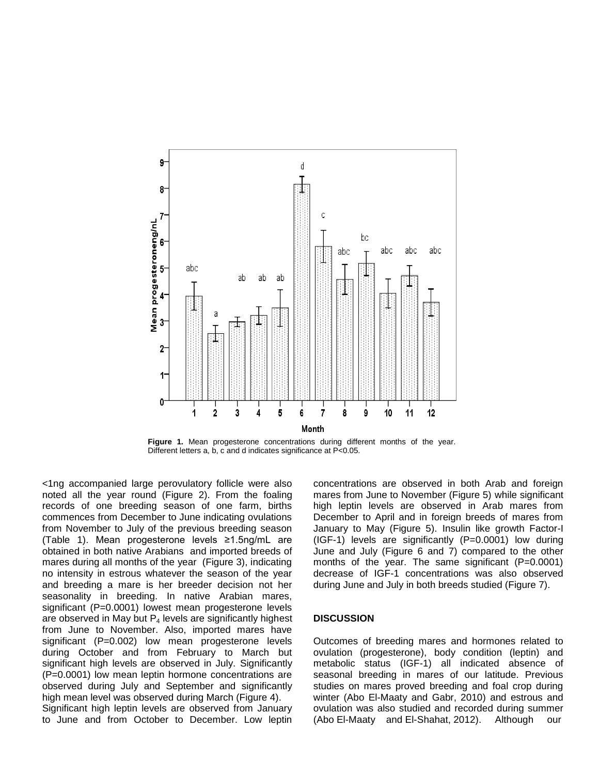

**Figure 1.** Mean progesterone concentrations during different months of the year. Different letters a, b, c and d indicates significance at P<0.05.

<1ng accompanied large perovulatory follicle were also noted all the year round (Figure 2). From the foaling records of one breeding season of one farm, births commences from December to June indicating ovulations from November to July of the previous breeding season (Table 1). Mean progesterone levels ≥1.5ng/mL are obtained in both native Arabians and imported breeds of mares during all months of the year (Figure 3), indicating no intensity in estrous whatever the season of the year and breeding a mare is her breeder decision not her seasonality in breeding. In native Arabian mares, significant (P=0.0001) lowest mean progesterone levels are observed in May but  $P_4$  levels are significantly highest from June to November. Also, imported mares have significant (P=0.002) low mean progesterone levels during October and from February to March but significant high levels are observed in July. Significantly (P=0.0001) low mean leptin hormone concentrations are observed during July and September and significantly high mean level was observed during March (Figure 4). Significant high leptin levels are observed from January to June and from October to December. Low leptin concentrations are observed in both Arab and foreign mares from June to November (Figure 5) while significant high leptin levels are observed in Arab mares from December to April and in foreign breeds of mares from January to May (Figure 5). Insulin like growth Factor-I (IGF-1) levels are significantly (P=0.0001) low during June and July (Figure 6 and 7) compared to the other months of the year. The same significant (P=0.0001) decrease of IGF-1 concentrations was also observed during June and July in both breeds studied (Figure 7).

#### **DISCUSSION**

Outcomes of breeding mares and hormones related to ovulation (progesterone), body condition (leptin) and metabolic status (IGF-1) all indicated absence of seasonal breeding in mares of our latitude. Previous studies on mares proved breeding and foal crop during winter (Abo El-Maaty and Gabr, 2010) and estrous and ovulation was also studied and recorded during summer (Abo El-Maaty and El-Shahat, 2012). Although our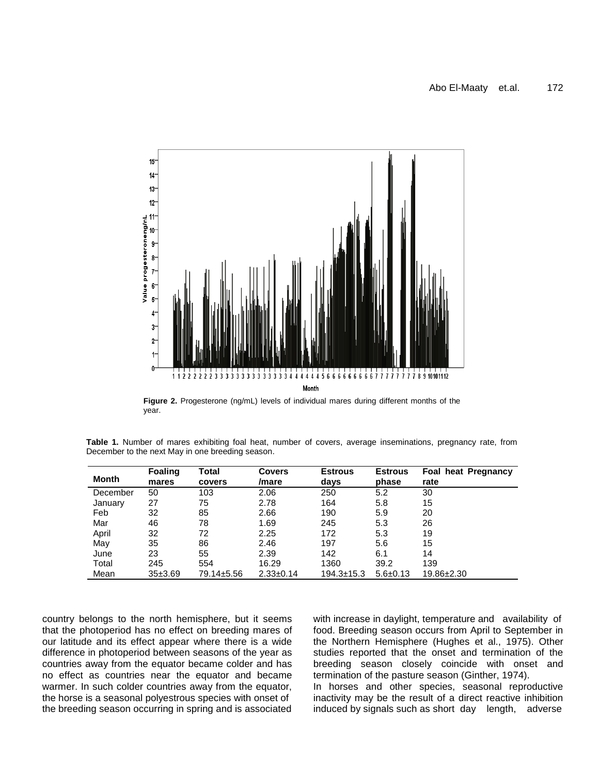

**Figure 2.** Progesterone (ng/mL) levels of individual mares during different months of the year.

|  |  |                                                  |  |  |  | Table 1. Number of mares exhibiting foal heat, number of covers, average inseminations, pregnancy rate, from |  |  |
|--|--|--------------------------------------------------|--|--|--|--------------------------------------------------------------------------------------------------------------|--|--|
|  |  | December to the next May in one breeding season. |  |  |  |                                                                                                              |  |  |

| Month    | <b>Foaling</b><br>mares | Total<br>covers | <b>Covers</b><br>/mare | <b>Estrous</b><br>days | <b>Estrous</b><br>phase | <b>Foal heat Pregnancy</b><br>rate |
|----------|-------------------------|-----------------|------------------------|------------------------|-------------------------|------------------------------------|
| December | 50                      | 103             | 2.06                   | 250                    | 5.2                     | 30                                 |
| January  | 27                      | 75              | 2.78                   | 164                    | 5.8                     | 15                                 |
| Feb      | 32                      | 85              | 2.66                   | 190                    | 5.9                     | 20                                 |
| Mar      | 46                      | 78              | 1.69                   | 245                    | 5.3                     | 26                                 |
| April    | 32                      | 72              | 2.25                   | 172                    | 5.3                     | 19                                 |
| May      | 35                      | 86              | 2.46                   | 197                    | 5.6                     | 15                                 |
| June     | 23                      | 55              | 2.39                   | 142                    | 6.1                     | 14                                 |
| Total    | 245                     | 554             | 16.29                  | 1360                   | 39.2                    | 139                                |
| Mean     | 35±3.69                 | 79.14±5.56      | $2.33+0.14$            | 194.3±15.3             | $5.6 \pm 0.13$          | $19.86 \pm 2.30$                   |

country belongs to the north hemisphere, but it seems that the photoperiod has no effect on breeding mares of our latitude and its effect appear where there is a wide difference in photoperiod between seasons of the year as countries away from the equator became colder and has no effect as countries near the equator and became warmer. In such colder countries away from the equator, the horse is a seasonal polyestrous species with onset of the breeding season occurring in spring and is associated with increase in daylight, temperature and availability of food. Breeding season occurs from April to September in the Northern Hemisphere (Hughes et al., 1975). Other studies reported that the onset and termination of the breeding season closely coincide with onset and termination of the pasture season (Ginther, 1974). In horses and other species, seasonal reproductive inactivity may be the result of a direct reactive inhibition induced by signals such as short day length, adverse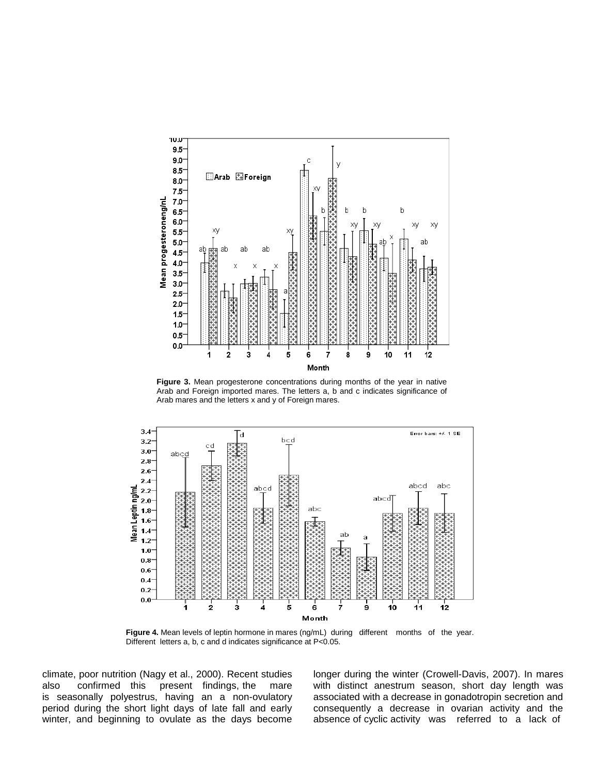

**Figure 3.** Mean progesterone concentrations during months of the year in native Arab and Foreign imported mares. The letters a, b and c indicates significance of Arab mares and the letters x and y of Foreign mares.



**Figure 4.** Mean levels of leptin hormone in mares (ng/mL) during different months of the year. Different letters a, b, c and d indicates significance at P<0.05.

climate, poor nutrition (Nagy et al., 2000). Recent studies also confirmed this present findings, the mare is seasonally polyestrus, having an a non-ovulatory period during the short light days of late fall and early winter, and beginning to ovulate as the days become

longer during the winter (Crowell-Davis, 2007). In mares with distinct anestrum season, short day length was associated with a decrease in gonadotropin secretion and consequently a decrease in ovarian activity and the absence of cyclic activity was referred to a lack of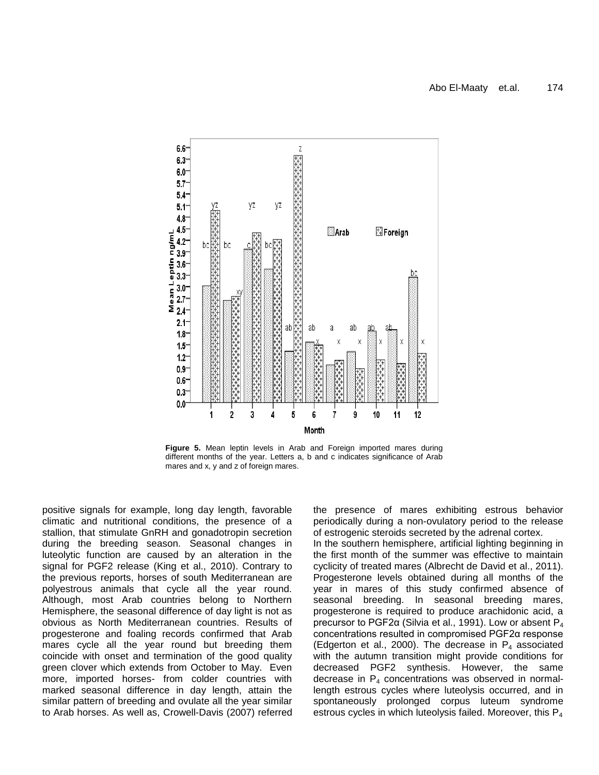

**Figure 5.** Mean leptin levels in Arab and Foreign imported mares during different months of the year. Letters a, b and c indicates significance of Arab mares and x, y and z of foreign mares.

positive signals for example, long day length, favorable climatic and nutritional conditions, the presence of a stallion, that stimulate GnRH and gonadotropin secretion during the breeding season. Seasonal changes in luteolytic function are caused by an alteration in the signal for PGF2 release (King et al., 2010). Contrary to the previous reports, horses of south Mediterranean are polyestrous animals that cycle all the year round. Although, most Arab countries belong to Northern Hemisphere, the seasonal difference of day light is not as obvious as North Mediterranean countries. Results of progesterone and foaling records confirmed that Arab mares cycle all the year round but breeding them coincide with onset and termination of the good quality green clover which extends from October to May. Even more, imported horses- from colder countries with marked seasonal difference in day length, attain the similar pattern of breeding and ovulate all the year similar to Arab horses. As well as, Crowell-Davis (2007) referred the presence of mares exhibiting estrous behavior periodically during a non-ovulatory period to the release of estrogenic steroids secreted by the adrenal cortex.

In the southern hemisphere, artificial lighting beginning in the first month of the summer was effective to maintain cyclicity of treated mares (Albrecht de David et al., 2011). Progesterone levels obtained during all months of the year in mares of this study confirmed absence of seasonal breeding. In seasonal breeding mares, progesterone is required to produce arachidonic acid, a precursor to PGF2α (Silvia et al., 1991). Low or absent P<sup>4</sup> concentrations resulted in compromised PGF2α response (Edgerton et al., 2000). The decrease in  $P_4$  associated with the autumn transition might provide conditions for decreased PGF2 synthesis. However, the same decrease in  $P_4$  concentrations was observed in normallength estrous cycles where luteolysis occurred, and in spontaneously prolonged corpus luteum syndrome estrous cycles in which luteolysis failed. Moreover, this  $P_4$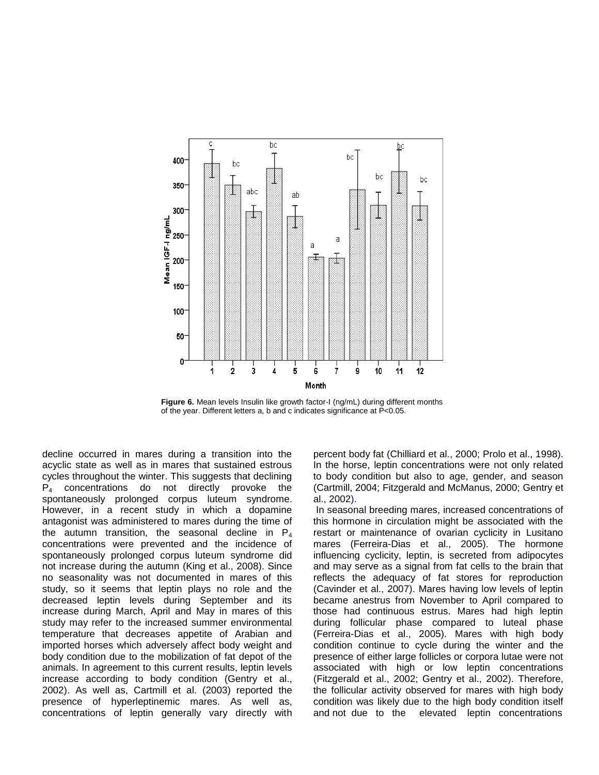

**Figure 6.** Mean levels Insulin like growth factor-I (ng/mL) during different months of the year. Different letters a, b and c indicates significance at P<0.05.

decline occurred in mares during a transition into the acyclic state as well as in mares that sustained estrous cycles throughout the winter. This suggests that declining  $P_4$  concentrations do not directly provoke the spontaneously prolonged corpus luteum syndrome. However, in a recent study in which a dopamine antagonist was administered to mares during the time of the autumn transition, the seasonal decline in  $P_4$ concentrations were prevented and the incidence of spontaneously prolonged corpus luteum syndrome did not increase during the autumn (King et al., 2008). Since no seasonality was not documented in mares of this study, so it seems that leptin plays no role and the decreased leptin levels during September and its increase during March, April and May in mares of this study may refer to the increased summer environmental temperature that decreases appetite of Arabian and imported horses which adversely affect body weight and body condition due to the mobilization of fat depot of the animals. In agreement to this current results, leptin levels increase according to body condition (Gentry et al., 2002). As well as, Cartmill et al. (2003) reported the presence of hyperleptinemic mares. As well as, concentrations of leptin generally vary directly with percent body fat (Chilliard et al., 2000; Prolo et al., 1998). In the horse, leptin concentrations were not only related to body condition but also to age, gender, and season (Cartmill, 2004; Fitzgerald and McManus, 2000; Gentry et al., 2002).

In seasonal breeding mares, increased concentrations of this hormone in circulation might be associated with the restart or maintenance of ovarian cyclicity in Lusitano mares (Ferreira-Dias et al., 2005). The hormone influencing cyclicity, leptin, is secreted from adipocytes and may serve as a signal from fat cells to the brain that reflects the adequacy of fat stores for reproduction (Cavinder et al., 2007). Mares having low levels of leptin became anestrus from November to April compared to those had continuous estrus. Mares had high leptin during follicular phase compared to luteal phase (Ferreira-Dias et al., 2005). Mares with high body condition continue to cycle during the winter and the presence of either large follicles or corpora lutae were not associated with high or low leptin concentrations (Fitzgerald et al., 2002; Gentry et al., 2002). Therefore, the follicular activity observed for mares with high body condition was likely due to the high body condition itself and not due to the elevated leptin concentrations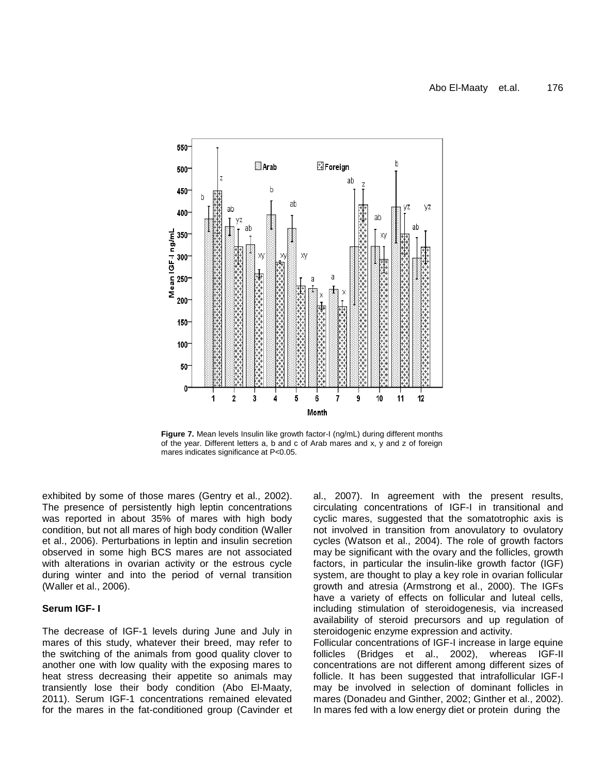

**Figure 7.** Mean levels Insulin like growth factor-I (ng/mL) during different months of the year. Different letters a, b and c of Arab mares and x, y and z of foreign mares indicates significance at P<0.05.

exhibited by some of those mares (Gentry et al., 2002). The presence of persistently high leptin concentrations was reported in about 35% of mares with high body condition, but not all mares of high body condition (Waller et al., 2006). Perturbations in leptin and insulin secretion observed in some high BCS mares are not associated with alterations in ovarian activity or the estrous cycle during winter and into the period of vernal transition (Waller et al., 2006).

# **Serum IGF- I**

The decrease of IGF-1 levels during June and July in mares of this study, whatever their breed, may refer to the switching of the animals from good quality clover to another one with low quality with the exposing mares to heat stress decreasing their appetite so animals may transiently lose their body condition (Abo El-Maaty, 2011). Serum IGF-1 concentrations remained elevated for the mares in the fat-conditioned group (Cavinder et al., 2007). In agreement with the present results, circulating concentrations of IGF-I in transitional and cyclic mares, suggested that the somatotrophic axis is not involved in transition from anovulatory to ovulatory cycles (Watson et al., 2004). The role of growth factors may be significant with the ovary and the follicles, growth factors, in particular the insulin-like growth factor (IGF) system, are thought to play a key role in ovarian follicular growth and atresia (Armstrong et al., 2000). The IGFs have a variety of effects on follicular and luteal cells, including stimulation of steroidogenesis, via increased availability of steroid precursors and up regulation of steroidogenic enzyme expression and activity.

Follicular concentrations of IGF-I increase in large equine follicles (Bridges et al., 2002), whereas IGF-II concentrations are not different among different sizes of follicle. It has been suggested that intrafollicular IGF-I may be involved in selection of dominant follicles in mares (Donadeu and Ginther, 2002; Ginther et al., 2002). In mares fed with a low energy diet or protein during the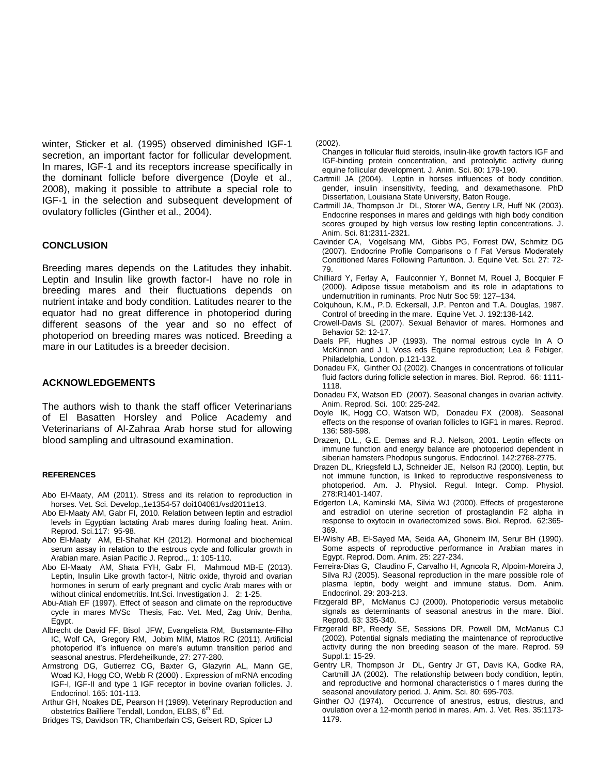winter, Sticker et al. (1995) observed diminished IGF-1 secretion, an important factor for follicular development. In mares, IGF-1 and its receptors increase specifically in the dominant follicle before divergence (Doyle et al., 2008), making it possible to attribute a special role to IGF-1 in the selection and subsequent development of ovulatory follicles (Ginther et al., 2004).

#### **CONCLUSION**

Breeding mares depends on the Latitudes they inhabit. Leptin and Insulin like growth factor-I have no role in breeding mares and their fluctuations depends on nutrient intake and body condition. Latitudes nearer to the equator had no great difference in photoperiod during different seasons of the year and so no effect of photoperiod on breeding mares was noticed. Breeding a mare in our Latitudes is a breeder decision.

#### **ACKNOWLEDGEMENTS**

The authors wish to thank the staff officer Veterinarians of El Basatten Horsley and Police Academy and Veterinarians of Al-Zahraa Arab horse stud for allowing blood sampling and ultrasound examination.

#### **REFERENCES**

- Abo El-Maaty, AM (2011). Stress and its relation to reproduction in horses. Vet. Sci. Develop.,1e1354-57 doi104081/vsd2011e13.
- Abo El-Maaty AM, Gabr FI, 2010. Relation between leptin and estradiol levels in Egyptian lactating Arab mares during foaling heat. Anim. Reprod. Sci.117: 95-98.
- Abo El-Maaty AM, El-Shahat KH (2012). Hormonal and biochemical serum assay in relation to the estrous cycle and follicular growth in Arabian mare. Asian Pacific J. Reprod.,. 1: 105-110.
- Abo El-Maaty AM, Shata FYH, Gabr FI, Mahmoud MB-E (2013). Leptin, Insulin Like growth factor-I, Nitric oxide, thyroid and ovarian hormones in serum of early pregnant and cyclic Arab mares with or without clinical endometritis. Int.Sci. Investigation J. 2: 1-25.
- Abu-Atiah EF (1997). Effect of season and climate on the reproductive cycle in mares MVSc Thesis, Fac. Vet. Med, Zag Univ, Benha, Egypt.
- Albrecht de David FF, Bisol JFW, Evangelista RM, Bustamante-Filho IC, Wolf CA, Gregory RM, Jobim MIM, Mattos RC (2011). Artificial photoperiod it's influence on mare's autumn transition period and seasonal anestrus. Pferdeheilkunde, 27: 277-280.
- Armstrong DG, Gutierrez CG, Baxter G, Glazyrin AL, Mann GE, Woad KJ, Hogg CO, Webb R (2000) . Expression of mRNA encoding IGF-I, IGF-II and type 1 IGF receptor in bovine ovarian follicles. J. Endocrinol. 165: 101-113.
- Arthur GH, Noakes DE, Pearson H (1989). Veterinary Reproduction and obstetrics Bailliere Tendall, London, ELBS, 6<sup>th</sup> Ed.
- Bridges TS, Davidson TR, Chamberlain CS, Geisert RD, Spicer LJ

#### (2002).

- Changes in follicular fluid steroids, insulin-like growth factors IGF and IGF-binding protein concentration, and proteolytic activity during equine follicular development. J. Anim. Sci. 80: 179-190.
- Cartmill JA (2004). Leptin in horses influences of body condition, gender, insulin insensitivity, feeding, and dexamethasone. PhD Dissertation, Louisiana State University, Baton Rouge.
- Cartmill JA, Thompson Jr DL, Storer WA, Gentry LR, Huff NK (2003). Endocrine responses in mares and geldings with high body condition scores grouped by high versus low resting leptin concentrations. J. Anim. Sci. 81:2311-2321.
- Cavinder CA, Vogelsang MM, Gibbs PG, Forrest DW, Schmitz DG (2007). Endocrine Profile Comparisons o f Fat Versus Moderately Conditioned Mares Following Parturition. J. Equine Vet. Sci. 27: 72- 79.
- Chilliard Y, Ferlay A, Faulconnier Y, Bonnet M, Rouel J, Bocquier F (2000). Adipose tissue metabolism and its role in adaptations to undernutrition in ruminants. Proc Nutr Soc 59: 127–134.
- Colquhoun, K.M., P.D. Eckersall, J.P. Penton and T.A. Douglas, 1987. Control of breeding in the mare. Equine Vet. J. 192:138-142.
- Crowell-Davis SL (2007). Sexual Behavior of mares. Hormones and Behavior 52: 12-17.
- Daels PF, Hughes JP (1993). The normal estrous cycle In A O McKinnon and J L Voss eds Equine reproduction; Lea & Febiger, Philadelphia, London. p.121-132.
- Donadeu FX, Ginther OJ (2002). Changes in concentrations of follicular fluid factors during follicle selection in mares. Biol. Reprod. 66: 1111- 1118.
- Donadeu FX, Watson ED (2007). Seasonal changes in ovarian activity. Anim. Reprod. Sci. 100: 225-242.
- Doyle IK, Hogg CO, Watson WD, Donadeu FX (2008). Seasonal effects on the response of ovarian follicles to IGF1 in mares. Reprod. 136: 589-598.
- Drazen, D.L., G.E. Demas and R.J. Nelson, 2001. Leptin effects on immune function and energy balance are photoperiod dependent in siberian hamsters Phodopus sungorus. Endocrinol. 142:2768-2775.
- Drazen DL, Kriegsfeld LJ, Schneider JE, Nelson RJ (2000). Leptin, but not immune function, is linked to reproductive responsiveness to photoperiod. Am. J. Physiol. Regul. Integr. Comp. Physiol. 278:R1401-1407.
- Edgerton LA, Kaminski MA, Silvia WJ (2000). Effects of progesterone and estradiol on uterine secretion of prostaglandin F2 alpha in response to oxytocin in ovariectomized sows. Biol. Reprod. 62:365- 369.
- El-Wishy AB, El-Sayed MA, Seida AA, Ghoneim IM, Serur BH (1990). Some aspects of reproductive performance in Arabian mares in Egypt. Reprod. Dom. Anim. 25: 227-234.
- Ferreira-Dias G, Claudino F, Carvalho H, Agrıcola R, Alpoim-Moreira J, Silva RJ (2005). Seasonal reproduction in the mare possible role of plasma leptin, body weight and immune status. Dom. Anim. Endocrinol. 29: 203-213.
- Fitzgerald BP, McManus CJ (2000). Photoperiodic versus metabolic signals as determinants of seasonal anestrus in the mare. Biol. Reprod. 63: 335-340.
- Fitzgerald BP, Reedy SE, Sessions DR, Powell DM, McManus CJ (2002). Potential signals mediating the maintenance of reproductive activity during the non breeding season of the mare. Reprod. 59 Suppl.1: 15-29.
- Gentry LR, Thompson Jr DL, Gentry Jr GT, Davis KA, Godke RA, Cartmill JA (2002). The relationship between body condition, leptin, and reproductive and hormonal characteristics o f mares during the seasonal anovulatory period. J. Anim. Sci. 80: 695-703.
- Ginther OJ (1974). Occurrence of anestrus, estrus, diestrus, and ovulation over a 12-month period in mares. Am. J. Vet. Res. 35:1173- 1179.